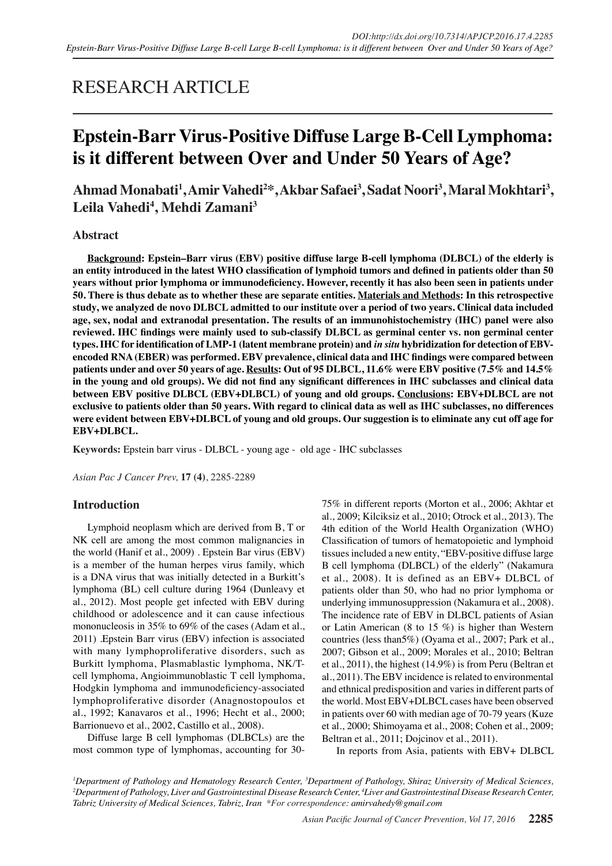## RESEARCH ARTICLE

# **Epstein-Barr Virus-Positive Diffuse Large B-Cell Lymphoma: is it different between Over and Under 50 Years of Age?**

**Ahmad Monabati1 , Amir Vahedi<sup>2</sup> \*, Akbar Safaei<sup>3</sup> , Sadat Noori<sup>3</sup> , Maral Mokhtari<sup>3</sup> , Leila Vahedi4 , Mehdi Zamani<sup>3</sup>**

#### **Abstract**

**Background: Epstein–Barr virus (EBV) positive diffuse large B-cell lymphoma (DLBCL) of the elderly is an entity introduced in the latest WHO classification of lymphoid tumors and defined in patients older than 50 years without prior lymphoma or immunodeficiency. However, recently it has also been seen in patients under 50. There is thus debate as to whether these are separate entities. Materials and Methods: In this retrospective study, we analyzed de novo DLBCL admitted to our institute over a period of two years. Clinical data included age, sex, nodal and extranodal presentation. The results of an immunohistochemistry (IHC) panel were also reviewed. IHC findings were mainly used to sub-classify DLBCL as germinal center vs. non germinal center types. IHC for identification of LMP-1 (latent membrane protein) and** *in situ* **hybridization for detection of EBVencoded RNA (EBER) was performed. EBV prevalence, clinical data and IHC findings were compared between patients under and over 50 years of age. Results: Out of 95 DLBCL, 11.6% were EBV positive (7.5% and 14.5% in the young and old groups). We did not find any significant differences in IHC subclasses and clinical data between EBV positive DLBCL (EBV+DLBCL) of young and old groups. Conclusions: EBV+DLBCL are not exclusive to patients older than 50 years. With regard to clinical data as well as IHC subclasses, no differences were evident between EBV+DLBCL of young and old groups. Our suggestion is to eliminate any cut off age for EBV+DLBCL.**

**Keywords:** Epstein barr virus - DLBCL - young age - old age - IHC subclasses

*Asian Pac J Cancer Prev,* **17 (4)**, 2285-2289

#### **Introduction**

Lymphoid neoplasm which are derived from B, T or NK cell are among the most common malignancies in the world (Hanif et al., 2009) . Epstein Bar virus (EBV) is a member of the human herpes virus family, which is a DNA virus that was initially detected in a Burkitt's lymphoma (BL) cell culture during 1964 (Dunleavy et al., 2012). Most people get infected with EBV during childhood or adolescence and it can cause infectious mononucleosis in 35% to 69% of the cases (Adam et al., 2011) .Epstein Barr virus (EBV) infection is associated with many lymphoproliferative disorders, such as Burkitt lymphoma, Plasmablastic lymphoma, NK/Tcell lymphoma, Angioimmunoblastic T cell lymphoma, Hodgkin lymphoma and immunodeficiency-associated lymphoproliferative disorder (Anagnostopoulos et al., 1992; Kanavaros et al., 1996; Hecht et al., 2000; Barrionuevo et al., 2002, Castillo et al., 2008).

Diffuse large B cell lymphomas (DLBCLs) are the most common type of lymphomas, accounting for 3075% in different reports (Morton et al., 2006; Akhtar et al., 2009; Kilciksiz et al., 2010; Otrock et al., 2013). The 4th edition of the World Health Organization (WHO) Classification of tumors of hematopoietic and lymphoid tissues included a new entity, "EBV-positive diffuse large B cell lymphoma (DLBCL) of the elderly" (Nakamura et al., 2008). It is defined as an EBV+ DLBCL of patients older than 50, who had no prior lymphoma or underlying immunosuppression (Nakamura et al., 2008). The incidence rate of EBV in DLBCL patients of Asian or Latin American (8 to 15 %) is higher than Western countries (less than5%) (Oyama et al., 2007; Park et al., 2007; Gibson et al., 2009; Morales et al., 2010; Beltran et al., 2011), the highest (14.9%) is from Peru (Beltran et al., 2011). The EBV incidence is related to environmental and ethnical predisposition and varies in different parts of the world. Most EBV+DLBCL cases have been observed in patients over 60 with median age of 70-79 years (Kuze et al., 2000; Shimoyama et al., 2008; Cohen et al., 2009; Beltran et al., 2011; Dojcinov et al., 2011).

In reports from Asia, patients with EBV+ DLBCL

*<sup>1</sup> Department of Pathology and Hematology Research Center, 3 Department of Pathology, Shiraz University of Medical Sciences, 2 Department of Pathology, Liver and Gastrointestinal Disease Research Center, 4 Liver and Gastrointestinal Disease Research Center, Tabriz University of Medical Sciences, Tabriz, Iran \*For correspondence: amirvahedy@gmail.com*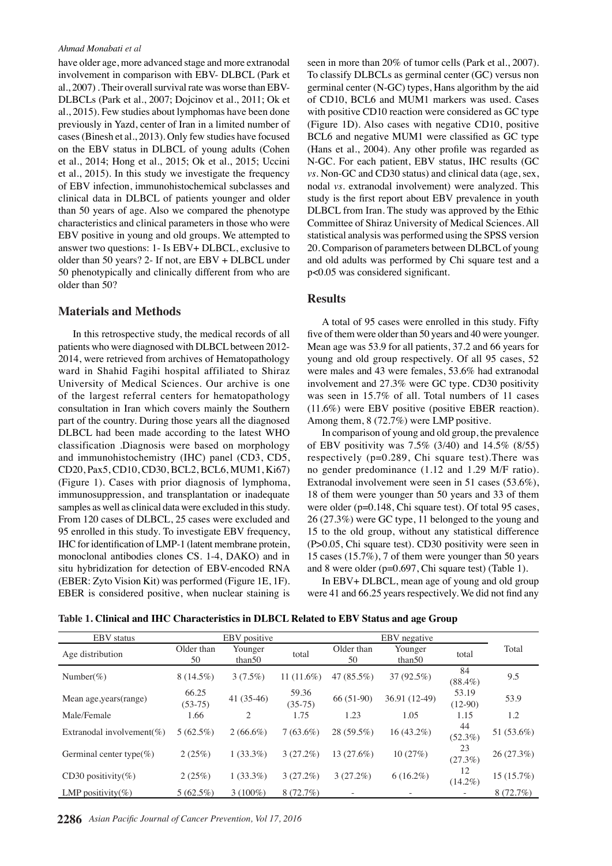#### *Ahmad Monabati et al*

have older age, more advanced stage and more extranodal involvement in comparison with EBV- DLBCL (Park et al., 2007) . Their overall survival rate was worse than EBV-DLBCLs (Park et al., 2007; Dojcinov et al., 2011; Ok et al., 2015). Few studies about lymphomas have been done previously in Yazd, center of Iran in a limited number of cases (Binesh et al., 2013). Only few studies have focused on the EBV status in DLBCL of young adults (Cohen et al., 2014; Hong et al., 2015; Ok et al., 2015; Uccini et al., 2015). In this study we investigate the frequency of EBV infection, immunohistochemical subclasses and clinical data in DLBCL of patients younger and older than 50 years of age. Also we compared the phenotype characteristics and clinical parameters in those who were EBV positive in young and old groups. We attempted to answer two questions: 1- Is EBV+ DLBCL, exclusive to older than 50 years? 2- If not, are EBV + DLBCL under 50 phenotypically and clinically different from who are older than 50?

#### **Materials and Methods**

In this retrospective study, the medical records of all patients who were diagnosed with DLBCL between 2012- 2014, were retrieved from archives of Hematopathology ward in Shahid Fagihi hospital affiliated to Shiraz University of Medical Sciences. Our archive is one of the largest referral centers for hematopathology consultation in Iran which covers mainly the Southern part of the country. During those years all the diagnosed DLBCL had been made according to the latest WHO classification .Diagnosis were based on morphology and immunohistochemistry (IHC) panel (CD3, CD5, CD20, Pax5, CD10, CD30, BCL2, BCL6, MUM1, Ki67) (Figure 1). Cases with prior diagnosis of lymphoma, immunosuppression, and transplantation or inadequate samples as well as clinical data were excluded in this study. From 120 cases of DLBCL, 25 cases were excluded and 95 enrolled in this study. To investigate EBV frequency, IHC for identification of LMP-1 (latent membrane protein, monoclonal antibodies clones CS. 1-4, DAKO) and in situ hybridization for detection of EBV-encoded RNA (EBER: Zyto Vision Kit) was performed (Figure 1E, 1F). EBER is considered positive, when nuclear staining is

seen in more than 20% of tumor cells (Park et al., 2007). To classify DLBCLs as germinal center (GC) versus non germinal center (N-GC) types, Hans algorithm by the aid of CD10, BCL6 and MUM1 markers was used. Cases with positive CD10 reaction were considered as GC type (Figure 1D). Also cases with negative CD10, positive BCL6 and negative MUM1 were classified as GC type (Hans et al., 2004). Any other profile was regarded as N-GC. For each patient, EBV status, IHC results (GC *vs.* Non-GC and CD30 status) and clinical data (age, sex, nodal *vs.* extranodal involvement) were analyzed. This study is the first report about EBV prevalence in youth DLBCL from Iran. The study was approved by the Ethic Committee of Shiraz University of Medical Sciences. All statistical analysis was performed using the SPSS version 20. Comparison of parameters between DLBCL of young and old adults was performed by Chi square test and a p<0.05 was considered significant.

#### **Results**

A total of 95 cases were enrolled in this study. Fifty five of them were older than 50 years and 40 were younger. Mean age was 53.9 for all patients, 37.2 and 66 years for young and old group respectively. Of all 95 cases, 52 were males and 43 were females, 53.6% had extranodal involvement and 27.3% were GC type. CD30 positivity was seen in 15.7% of all. Total numbers of 11 cases (11.6%) were EBV positive (positive EBER reaction). Among them, 8 (72.7%) were LMP positive.

In comparison of young and old group, the prevalence of EBV positivity was 7.5% (3/40) and 14.5% (8/55) respectively (p=0.289, Chi square test).There was no gender predominance (1.12 and 1.29 M/F ratio). Extranodal involvement were seen in 51 cases (53.6%), 18 of them were younger than 50 years and 33 of them were older (p=0.148, Chi square test). Of total 95 cases, 26 (27.3%) were GC type, 11 belonged to the young and 15 to the old group, without any statistical difference (P>0.05, Chi square test). CD30 positivity were seen in 15 cases (15.7%), 7 of them were younger than 50 years and 8 were older (p=0.697, Chi square test) (Table 1).

In EBV+ DLBCL, mean age of young and old group were 41 and 66.25 years respectively. We did not find any

| Table 1. Clinical and IHC Characteristics in DLBCL Related to EBV Status and age Group |  |
|----------------------------------------------------------------------------------------|--|
|----------------------------------------------------------------------------------------|--|

| <b>EBV</b> status             |                    | EBV positive      |                    |                  | EBV negative      |                    |            |
|-------------------------------|--------------------|-------------------|--------------------|------------------|-------------------|--------------------|------------|
| Age distribution              | Older than<br>50   | Younger<br>than50 | total              | Older than<br>50 | Younger<br>than50 | total              | Total      |
| Number(%)                     | $8(14.5\%)$        | $3(7.5\%)$        | 11 $(11.6%)$       | 47 (85.5%)       | 37 (92.5%)        | 84<br>$(88.4\%)$   | 9.5        |
| Mean age, years (range)       | 66.25<br>$(53-75)$ | $41(35-46)$       | 59.36<br>$(35-75)$ | $66(51-90)$      | 36.91 (12-49)     | 53.19<br>$(12-90)$ | 53.9       |
| Male/Female                   | 1.66               | 2                 | 1.75               | 1.23             | 1.05              | 1.15               | 1.2        |
| Extranodal involvement $(\%)$ | $5(62.5\%)$        | $2(66.6\%)$       | $7(63.6\%)$        | 28 (59.5%)       | $16(43.2\%)$      | 44<br>$(52.3\%)$   | 51 (53.6%) |
| Germinal center type(%)       | 2(25%)             | $1(33.3\%)$       | 3(27.2%)           | 13 (27.6%)       | 10(27%)           | 23<br>(27.3%)      | 26 (27.3%) |
| CD30 positivity(%)            | 2(25%)             | $1(33.3\%)$       | 3(27.2%)           | 3(27.2%)         | $6(16.2\%)$       | 12<br>$(14.2\%)$   | 15(15.7%)  |
| LMP positivity(%)             | $5(62.5\%)$        | $3(100\%)$        | 8 (72.7%)          |                  |                   |                    | 8(72.7%)   |
|                               |                    |                   |                    |                  |                   |                    |            |

**2286** *Asian Pacific Journal of Cancer Prevention, Vol 17, 2016*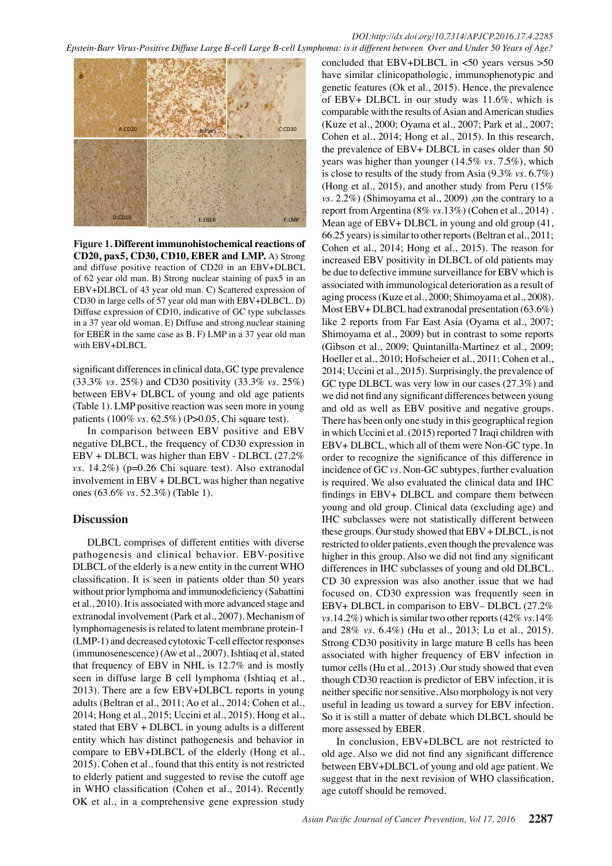

**Figure 1. Different immunohistochemical reactions of CD20, pax5, CD30, CD10, EBER and LMP.** A) Strong and diffuse positive reaction of CD20 in an EBV+DLBCL of 62 year old man. B) Strong nuclear staining of pax5 in an EBV+DLBCL of 43 year old man. C) Scattered expression of CD30 in large cells of 57 year old man with EBV+DLBCL. D) Diffuse expression of CD10, indicative of GC type subclasses in a 37 year old woman. E) Diffuse and strong nuclear staining for EBER in the same case as B. F) LMP in a 37 year old man with EBV+DLBCL

significant differences in clinical data, GC type prevalence (33.3% *vs.* 25%) and CD30 positivity (33.3% *vs.* 25%) between EBV+ DLBCL of young and old age patients (Table 1). LMP positive reaction was seen more in young patients (100% *vs.* 62.5%) (P>0.05, Chi square test).

In comparison between EBV positive and EBV negative DLBCL, the frequency of CD30 expression in EBV + DLBCL was higher than EBV - DLBCL (27.2% *vs.* 14.2%) (p=0.26 Chi square test). Also extranodal involvement in EBV + DLBCL was higher than negative ones (63.6% *vs.* 52.3%) (Table 1).

## **Discussion**

DLBCL comprises of different entities with diverse pathogenesis and clinical behavior. EBV-positive DLBCL of the elderly is a new entity in the current WHO classification. It is seen in patients older than 50 years without prior lymphoma and immunodeficiency (Sabattini et al., 2010). It is associated with more advanced stage and extranodal involvement (Park et al., 2007). Mechanism of lymphomagenesis is related to latent membrane protein-1 (LMP-1) and decreased cytotoxic T-cell effector responses (immunosenescence) (Aw et al., 2007). Ishtiaq et al, stated that frequency of EBV in NHL is 12.7% and is mostly seen in diffuse large B cell lymphoma (Ishtiaq et al., 2013). There are a few EBV+DLBCL reports in young adults (Beltran et al., 2011; Ao et al., 2014; Cohen et al., 2014; Hong et al., 2015; Uccini et al., 2015). Hong et al., stated that EBV + DLBCL in young adults is a different entity which has distinct pathogenesis and behavior in compare to EBV+DLBCL of the elderly (Hong et al., 2015). Cohen et al., found that this entity is not restricted to elderly patient and suggested to revise the cutoff age in WHO classification (Cohen et al., 2014). Recently OK et al., in a comprehensive gene expression study

concluded that  $EBV+DLBCL$  in  $<50$  years versus  $>50$ have similar clinicopathologic, immunophenotypic and genetic features (Ok et al., 2015). Hence, the prevalence of EBV+ DLBCL in our study was 11.6%, which is comparable with the results of Asian and American studies (Kuze et al., 2000; Oyama et al., 2007; Park et al., 2007; Cohen et al., 2014; Hong et al., 2015). In this research, the prevalence of EBV+ DLBCL in cases older than 50 years was higher than younger (14.5% *vs.* 7.5%), which is close to results of the study from Asia (9.3% *vs.* 6.7%) (Hong et al., 2015), and another study from Peru (15% *vs.* 2.2%) (Shimoyama et al., 2009) ,on the contrary to a report from Argentina (8% *vs.*13%) (Cohen et al., 2014) . Mean age of EBV+ DLBCL in young and old group (41, 66.25 years) is similar to other reports (Beltran et al., 2011; Cohen et al., 2014; Hong et al., 2015). The reason for increased EBV positivity in DLBCL of old patients may be due to defective immune surveillance for EBV which is associated with immunological deterioration as a result of aging process (Kuze et al., 2000; Shimoyama et al., 2008). Most EBV+ DLBCL had extranodal presentation (63.6%) like 2 reports from Far East Asia (Oyama et al., 2007; Shimoyama et al., 2009) but in contrast to some reports (Gibson et al., 2009; Quintanilla-Martinez et al., 2009; Hoeller et al., 2010; Hofscheier et al., 2011; Cohen et al., 2014; Uccini et al., 2015). Surprisingly, the prevalence of GC type DLBCL was very low in our cases (27.3%) and we did not find any significant differences between young and old as well as EBV positive and negative groups. There has been only one study in this geographical region in which Uccini et al. (2015) reported 7 Iraqi children with EBV+ DLBCL, which all of them were Non-GC type. In order to recognize the significance of this difference in incidence of GC *vs.* Non-GC subtypes, further evaluation is required. We also evaluated the clinical data and IHC findings in EBV+ DLBCL and compare them between young and old group. Clinical data (excluding age) and IHC subclasses were not statistically different between these groups. Our study showed that EBV + DLBCL, is not restricted to older patients, even though the prevalence was higher in this group. Also we did not find any significant differences in IHC subclasses of young and old DLBCL. CD 30 expression was also another issue that we had focused on. CD30 expression was frequently seen in EBV+ DLBCL in comparison to EBV– DLBCL (27.2% *vs.*14.2%) which is similar two other reports (42% *vs.*14% and 28% *vs.* 6.4%) (Hu et al., 2013; Lu et al., 2015). Strong CD30 positivity in large mature B cells has been associated with higher frequency of EBV infection in tumor cells (Hu et al., 2013) .Our study showed that even though CD30 reaction is predictor of EBV infection, it is neither specific nor sensitive. Also morphology is not very useful in leading us toward a survey for EBV infection. So it is still a matter of debate which DLBCL should be more assessed by EBER.

In conclusion, EBV+DLBCL are not restricted to old age. Also we did not find any significant difference between EBV+DLBCL of young and old age patient. We suggest that in the next revision of WHO classification, age cutoff should be removed.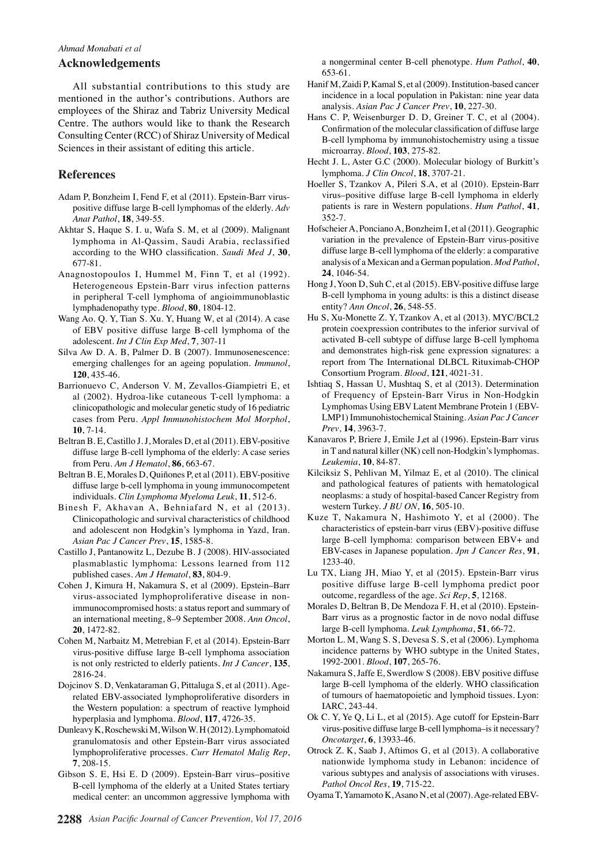#### *Ahmad Monabati et al*

### **Acknowledgements**

All substantial contributions to this study are mentioned in the author's contributions. Authors are employees of the Shiraz and Tabriz University Medical Centre. The authors would like to thank the Research Consulting Center (RCC) of Shiraz University of Medical Sciences in their assistant of editing this article.

## **References**

- Adam P, Bonzheim I, Fend F, et al (2011). Epstein-Barr viruspositive diffuse large B-cell lymphomas of the elderly. *Adv Anat Pathol*, **18**, 349-55.
- Akhtar S, Haque S. I. u, Wafa S. M, et al (2009). Malignant lymphoma in Al-Qassim, Saudi Arabia, reclassified according to the WHO classification. *Saudi Med J*, **30**, 677-81.
- Anagnostopoulos I, Hummel M, Finn T, et al (1992). Heterogeneous Epstein-Barr virus infection patterns in peripheral T-cell lymphoma of angioimmunoblastic lymphadenopathy type. *Blood*, **80**, 1804-12.
- Wang Ao. Q. Y, Tian S. Xu. Y, Huang W, et al (2014). A case of EBV positive diffuse large B-cell lymphoma of the adolescent. *Int J Clin Exp Med*, **7**, 307-11
- Silva Aw D. A. B, Palmer D. B (2007). Immunosenescence: emerging challenges for an ageing population. *Immunol*, **120**, 435-46.
- Barrionuevo C, Anderson V. M, Zevallos-Giampietri E, et al (2002). Hydroa-like cutaneous T-cell lymphoma: a clinicopathologic and molecular genetic study of 16 pediatric cases from Peru. *Appl Immunohistochem Mol Morphol*, **10**, 7-14.
- Beltran B. E, Castillo J. J, Morales D, et al (2011). EBV-positive diffuse large B-cell lymphoma of the elderly: A case series from Peru. *Am J Hematol*, **86**, 663-67.
- Beltran B. E, Morales D, Quiñones P, et al (2011). EBV-positive diffuse large b-cell lymphoma in young immunocompetent individuals. *Clin Lymphoma Myeloma Leuk*, **11**, 512-6.
- Binesh F, Akhavan A, Behniafard N, et al (2013). Clinicopathologic and survival characteristics of childhood and adolescent non Hodgkin's lymphoma in Yazd, Iran. *Asian Pac J Cancer Prev*, **15**, 1585-8.
- Castillo J, Pantanowitz L, Dezube B. J (2008). HIV-associated plasmablastic lymphoma: Lessons learned from 112 published cases. *Am J Hematol*, **83**, 804-9.
- Cohen J, Kimura H, Nakamura S, et al (2009). Epstein–Barr virus-associated lymphoproliferative disease in nonimmunocompromised hosts: a status report and summary of an international meeting, 8–9 September 2008. *Ann Oncol*, **20**, 1472-82.
- Cohen M, Narbaitz M, Metrebian F, et al (2014). Epstein-Barr virus-positive diffuse large B-cell lymphoma association is not only restricted to elderly patients. *Int J Cancer*, **135**, 2816-24.
- Dojcinov S. D, Venkataraman G, Pittaluga S, et al (2011). Agerelated EBV-associated lymphoproliferative disorders in the Western population: a spectrum of reactive lymphoid hyperplasia and lymphoma. *Blood*, **117**, 4726-35.
- Dunleavy K, Roschewski M, Wilson W. H (2012). Lymphomatoid granulomatosis and other Epstein-Barr virus associated lymphoproliferative processes. *Curr Hematol Malig Rep*, **7**, 208-15.
- Gibson S. E, Hsi E. D (2009). Epstein-Barr virus–positive B-cell lymphoma of the elderly at a United States tertiary medical center: an uncommon aggressive lymphoma with

a nongerminal center B-cell phenotype. *Hum Pathol*, **40**, 653-61.

- Hanif M, Zaidi P, Kamal S, et al (2009). Institution-based cancer incidence in a local population in Pakistan: nine year data analysis. *Asian Pac J Cancer Prev*, **10**, 227-30.
- Hans C. P, Weisenburger D. D, Greiner T. C, et al (2004). Confirmation of the molecular classification of diffuse large B-cell lymphoma by immunohistochemistry using a tissue microarray. *Blood*, **103**, 275-82.
- Hecht J. L, Aster G.C (2000). Molecular biology of Burkitt's lymphoma. *J Clin Oncol*, **18**, 3707-21.
- Hoeller S, Tzankov A, Pileri S.A, et al (2010). Epstein-Barr virus–positive diffuse large B-cell lymphoma in elderly patients is rare in Western populations. *Hum Pathol*, **41**, 352-7.
- Hofscheier A, Ponciano A, Bonzheim I, et al (2011). Geographic variation in the prevalence of Epstein-Barr virus-positive diffuse large B-cell lymphoma of the elderly: a comparative analysis of a Mexican and a German population. *Mod Pathol*, **24**, 1046-54.
- Hong J, Yoon D, Suh C, et al (2015). EBV-positive diffuse large B-cell lymphoma in young adults: is this a distinct disease entity? *Ann Oncol*, **26**, 548-55.
- Hu S, Xu-Monette Z. Y, Tzankov A, et al (2013). MYC/BCL2 protein coexpression contributes to the inferior survival of activated B-cell subtype of diffuse large B-cell lymphoma and demonstrates high-risk gene expression signatures: a report from The International DLBCL Rituximab-CHOP Consortium Program. *Blood*, **121**, 4021-31.
- Ishtiaq S, Hassan U, Mushtaq S, et al (2013). Determination of Frequency of Epstein-Barr Virus in Non-Hodgkin Lymphomas Using EBV Latent Membrane Protein 1 (EBV-LMP1) Immunohistochemical Staining. *Asian Pac J Cancer Prev*, **14**, 3963-7.
- Kanavaros P, Briere J, Emile J,et al (1996). Epstein-Barr virus in T and natural killer (NK) cell non-Hodgkin's lymphomas. *Leukemia*, **10**, 84-87.
- Kilciksiz S, Pehlivan M, Yilmaz E, et al (2010). The clinical and pathological features of patients with hematological neoplasms: a study of hospital-based Cancer Registry from western Turkey. *J BU ON*, **16**, 505-10.
- Kuze T, Nakamura N, Hashimoto Y, et al (2000). The characteristics of epstein-barr virus (EBV)-positive diffuse large B-cell lymphoma: comparison between EBV+ and EBV-cases in Japanese population. *Jpn J Cancer Res*, **91**, 1233-40.
- Lu TX, Liang JH, Miao Y, et al (2015). Epstein-Barr virus positive diffuse large B-cell lymphoma predict poor outcome, regardless of the age. *Sci Rep*, **5**, 12168.
- Morales D, Beltran B, De Mendoza F. H, et al (2010). Epstein-Barr virus as a prognostic factor in de novo nodal diffuse large B-cell lymphoma. *Leuk Lymphoma*, **51**, 66-72.
- Morton L. M, Wang S. S, Devesa S. S, et al (2006). Lymphoma incidence patterns by WHO subtype in the United States, 1992-2001. *Blood*, **107**, 265-76.
- Nakamura S, Jaffe E, Swerdlow S (2008). EBV positive diffuse large B-cell lymphoma of the elderly. WHO classification of tumours of haematopoietic and lymphoid tissues. Lyon: IARC, 243-44.
- Ok C. Y, Ye Q, Li L, et al (2015). Age cutoff for Epstein-Barr virus-positive diffuse large B-cell lymphoma–is it necessary? *Oncotarget*, **6**, 13933-46.
- Otrock Z. K, Saab J, Aftimos G, et al (2013). A collaborative nationwide lymphoma study in Lebanon: incidence of various subtypes and analysis of associations with viruses. *Pathol Oncol Res*, **19**, 715-22.
- Oyama T, Yamamoto K, Asano N, et al (2007). Age-related EBV-